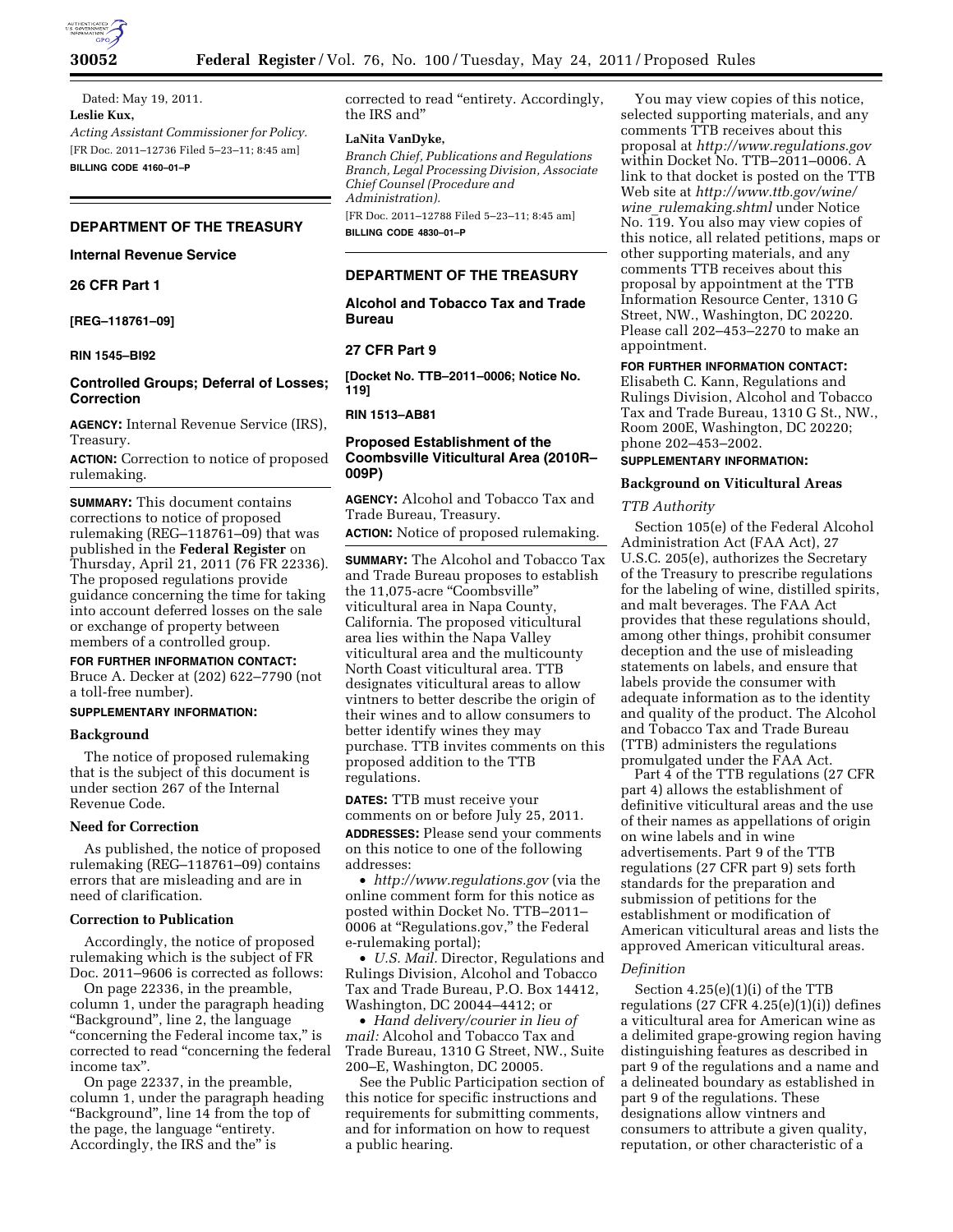

Dated: May 19, 2011. **Leslie Kux,**  *Acting Assistant Commissioner for Policy.*  [FR Doc. 2011–12736 Filed 5–23–11; 8:45 am] **BILLING CODE 4160–01–P** 

# **DEPARTMENT OF THE TREASURY**

# **Internal Revenue Service**

# **26 CFR Part 1**

**[REG–118761–09]** 

# **RIN 1545–BI92**

# **Controlled Groups; Deferral of Losses; Correction**

**AGENCY:** Internal Revenue Service (IRS), Treasury.

**ACTION:** Correction to notice of proposed rulemaking.

**SUMMARY:** This document contains corrections to notice of proposed rulemaking (REG–118761–09) that was published in the **Federal Register** on Thursday, April 21, 2011 (76 FR 22336). The proposed regulations provide guidance concerning the time for taking into account deferred losses on the sale or exchange of property between members of a controlled group.

# **FOR FURTHER INFORMATION CONTACT:**

Bruce A. Decker at (202) 622–7790 (not a toll-free number).

# **SUPPLEMENTARY INFORMATION:**

# **Background**

The notice of proposed rulemaking that is the subject of this document is under section 267 of the Internal Revenue Code.

### **Need for Correction**

As published, the notice of proposed rulemaking (REG–118761–09) contains errors that are misleading and are in need of clarification.

### **Correction to Publication**

Accordingly, the notice of proposed rulemaking which is the subject of FR Doc. 2011–9606 is corrected as follows:

On page 22336, in the preamble, column 1, under the paragraph heading ''Background'', line 2, the language ''concerning the Federal income tax,'' is corrected to read ''concerning the federal income tax''.

On page 22337, in the preamble, column 1, under the paragraph heading ''Background'', line 14 from the top of the page, the language "entirety. Accordingly, the IRS and the'' is

corrected to read ''entirety. Accordingly, the IRS and''

# **LaNita VanDyke,**

*Branch Chief, Publications and Regulations Branch, Legal Processing Division, Associate Chief Counsel (Procedure and Administration).* 

[FR Doc. 2011–12788 Filed 5–23–11; 8:45 am] **BILLING CODE 4830–01–P** 

# **DEPARTMENT OF THE TREASURY**

# **Alcohol and Tobacco Tax and Trade Bureau**

# **27 CFR Part 9**

**[Docket No. TTB–2011–0006; Notice No. 119]** 

# **RIN 1513–AB81**

# **Proposed Establishment of the Coombsville Viticultural Area (2010R– 009P)**

**AGENCY:** Alcohol and Tobacco Tax and Trade Bureau, Treasury.

**ACTION:** Notice of proposed rulemaking.

**SUMMARY:** The Alcohol and Tobacco Tax and Trade Bureau proposes to establish the 11,075-acre "Coombsville" viticultural area in Napa County, California. The proposed viticultural area lies within the Napa Valley viticultural area and the multicounty North Coast viticultural area. TTB designates viticultural areas to allow vintners to better describe the origin of their wines and to allow consumers to better identify wines they may purchase. TTB invites comments on this proposed addition to the TTB regulations.

**DATES:** TTB must receive your comments on or before July 25, 2011.

**ADDRESSES:** Please send your comments on this notice to one of the following addresses:

• *<http://www.regulations.gov>* (via the online comment form for this notice as posted within Docket No. TTB–2011– 0006 at ''Regulations.gov,'' the Federal e-rulemaking portal);

• *U.S. Mail.* Director, Regulations and Rulings Division, Alcohol and Tobacco Tax and Trade Bureau, P.O. Box 14412, Washington, DC 20044–4412; or

• *Hand delivery/courier in lieu of mail:* Alcohol and Tobacco Tax and Trade Bureau, 1310 G Street, NW., Suite 200–E, Washington, DC 20005.

See the Public Participation section of this notice for specific instructions and requirements for submitting comments, and for information on how to request a public hearing.

You may view copies of this notice, selected supporting materials, and any comments TTB receives about this proposal at *<http://www.regulations.gov>* within Docket No. TTB–2011–0006. A link to that docket is posted on the TTB Web site at *[http://www.ttb.gov/wine/](http://www.ttb.gov/wine/wine_rulemaking.shtml)  wine*\_*[rulemaking.shtml](http://www.ttb.gov/wine/wine_rulemaking.shtml)* under Notice No. 119. You also may view copies of this notice, all related petitions, maps or other supporting materials, and any comments TTB receives about this proposal by appointment at the TTB Information Resource Center, 1310 G Street, NW., Washington, DC 20220. Please call 202–453–2270 to make an appointment.

# **FOR FURTHER INFORMATION CONTACT:**

Elisabeth C. Kann, Regulations and Rulings Division, Alcohol and Tobacco Tax and Trade Bureau, 1310 G St., NW., Room 200E, Washington, DC 20220; phone 202–453–2002.

# **SUPPLEMENTARY INFORMATION:**

# **Background on Viticultural Areas**

# *TTB Authority*

Section 105(e) of the Federal Alcohol Administration Act (FAA Act), 27 U.S.C. 205(e), authorizes the Secretary of the Treasury to prescribe regulations for the labeling of wine, distilled spirits, and malt beverages. The FAA Act provides that these regulations should, among other things, prohibit consumer deception and the use of misleading statements on labels, and ensure that labels provide the consumer with adequate information as to the identity and quality of the product. The Alcohol and Tobacco Tax and Trade Bureau (TTB) administers the regulations promulgated under the FAA Act.

Part 4 of the TTB regulations (27 CFR part 4) allows the establishment of definitive viticultural areas and the use of their names as appellations of origin on wine labels and in wine advertisements. Part 9 of the TTB regulations (27 CFR part 9) sets forth standards for the preparation and submission of petitions for the establishment or modification of American viticultural areas and lists the approved American viticultural areas.

# *Definition*

Section 4.25(e)(1)(i) of the TTB regulations  $(27 \text{ CFR } 4.25(e)(1)(i))$  defines a viticultural area for American wine as a delimited grape-growing region having distinguishing features as described in part 9 of the regulations and a name and a delineated boundary as established in part 9 of the regulations. These designations allow vintners and consumers to attribute a given quality, reputation, or other characteristic of a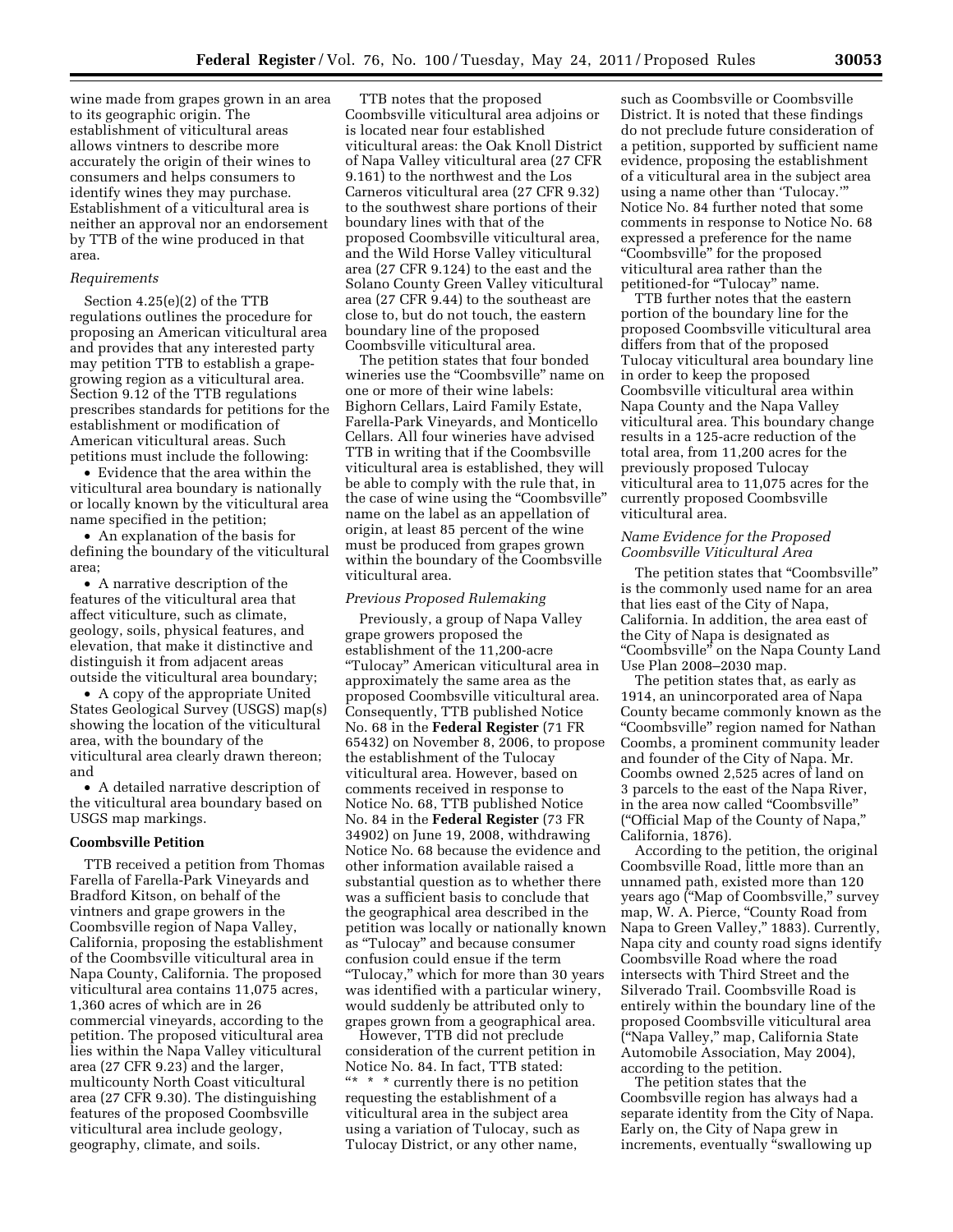wine made from grapes grown in an area to its geographic origin. The establishment of viticultural areas allows vintners to describe more accurately the origin of their wines to consumers and helps consumers to identify wines they may purchase. Establishment of a viticultural area is neither an approval nor an endorsement by TTB of the wine produced in that area.

### *Requirements*

Section 4.25(e)(2) of the TTB regulations outlines the procedure for proposing an American viticultural area and provides that any interested party may petition TTB to establish a grapegrowing region as a viticultural area. Section 9.12 of the TTB regulations prescribes standards for petitions for the establishment or modification of American viticultural areas. Such petitions must include the following:

• Evidence that the area within the viticultural area boundary is nationally or locally known by the viticultural area name specified in the petition;

• An explanation of the basis for defining the boundary of the viticultural area;

• A narrative description of the features of the viticultural area that affect viticulture, such as climate, geology, soils, physical features, and elevation, that make it distinctive and distinguish it from adjacent areas outside the viticultural area boundary;

• A copy of the appropriate United States Geological Survey (USGS) map(s) showing the location of the viticultural area, with the boundary of the viticultural area clearly drawn thereon; and

• A detailed narrative description of the viticultural area boundary based on USGS map markings.

#### **Coombsville Petition**

TTB received a petition from Thomas Farella of Farella-Park Vineyards and Bradford Kitson, on behalf of the vintners and grape growers in the Coombsville region of Napa Valley, California, proposing the establishment of the Coombsville viticultural area in Napa County, California. The proposed viticultural area contains 11,075 acres, 1,360 acres of which are in 26 commercial vineyards, according to the petition. The proposed viticultural area lies within the Napa Valley viticultural area (27 CFR 9.23) and the larger, multicounty North Coast viticultural area (27 CFR 9.30). The distinguishing features of the proposed Coombsville viticultural area include geology, geography, climate, and soils.

TTB notes that the proposed Coombsville viticultural area adjoins or is located near four established viticultural areas: the Oak Knoll District of Napa Valley viticultural area (27 CFR 9.161) to the northwest and the Los Carneros viticultural area (27 CFR 9.32) to the southwest share portions of their boundary lines with that of the proposed Coombsville viticultural area, and the Wild Horse Valley viticultural area (27 CFR 9.124) to the east and the Solano County Green Valley viticultural area (27 CFR 9.44) to the southeast are close to, but do not touch, the eastern boundary line of the proposed Coombsville viticultural area.

The petition states that four bonded wineries use the "Coombsville" name on one or more of their wine labels: Bighorn Cellars, Laird Family Estate, Farella-Park Vineyards, and Monticello Cellars. All four wineries have advised TTB in writing that if the Coombsville viticultural area is established, they will be able to comply with the rule that, in the case of wine using the ''Coombsville'' name on the label as an appellation of origin, at least 85 percent of the wine must be produced from grapes grown within the boundary of the Coombsville viticultural area.

#### *Previous Proposed Rulemaking*

Previously, a group of Napa Valley grape growers proposed the establishment of the 11,200-acre ''Tulocay'' American viticultural area in approximately the same area as the proposed Coombsville viticultural area. Consequently, TTB published Notice No. 68 in the **Federal Register** (71 FR 65432) on November 8, 2006, to propose the establishment of the Tulocay viticultural area. However, based on comments received in response to Notice No. 68, TTB published Notice No. 84 in the **Federal Register** (73 FR 34902) on June 19, 2008, withdrawing Notice No. 68 because the evidence and other information available raised a substantial question as to whether there was a sufficient basis to conclude that the geographical area described in the petition was locally or nationally known as ''Tulocay'' and because consumer confusion could ensue if the term ''Tulocay,'' which for more than 30 years was identified with a particular winery, would suddenly be attributed only to grapes grown from a geographical area.

However, TTB did not preclude consideration of the current petition in Notice No. 84. In fact, TTB stated: ''\* \* \* currently there is no petition requesting the establishment of a viticultural area in the subject area using a variation of Tulocay, such as Tulocay District, or any other name,

such as Coombsville or Coombsville District. It is noted that these findings do not preclude future consideration of a petition, supported by sufficient name evidence, proposing the establishment of a viticultural area in the subject area using a name other than 'Tulocay.''' Notice No. 84 further noted that some comments in response to Notice No. 68 expressed a preference for the name ''Coombsville'' for the proposed viticultural area rather than the petitioned-for "Tulocay" name.

TTB further notes that the eastern portion of the boundary line for the proposed Coombsville viticultural area differs from that of the proposed Tulocay viticultural area boundary line in order to keep the proposed Coombsville viticultural area within Napa County and the Napa Valley viticultural area. This boundary change results in a 125-acre reduction of the total area, from 11,200 acres for the previously proposed Tulocay viticultural area to 11,075 acres for the currently proposed Coombsville viticultural area.

## *Name Evidence for the Proposed Coombsville Viticultural Area*

The petition states that ''Coombsville'' is the commonly used name for an area that lies east of the City of Napa, California. In addition, the area east of the City of Napa is designated as ''Coombsville'' on the Napa County Land Use Plan 2008–2030 map.

The petition states that, as early as 1914, an unincorporated area of Napa County became commonly known as the ''Coombsville'' region named for Nathan Coombs, a prominent community leader and founder of the City of Napa. Mr. Coombs owned 2,525 acres of land on 3 parcels to the east of the Napa River, in the area now called "Coombsville" (''Official Map of the County of Napa,'' California, 1876).

According to the petition, the original Coombsville Road, little more than an unnamed path, existed more than 120 years ago (''Map of Coombsville,'' survey map, W. A. Pierce, "County Road from Napa to Green Valley,'' 1883). Currently, Napa city and county road signs identify Coombsville Road where the road intersects with Third Street and the Silverado Trail. Coombsville Road is entirely within the boundary line of the proposed Coombsville viticultural area (''Napa Valley,'' map, California State Automobile Association, May 2004), according to the petition.

The petition states that the Coombsville region has always had a separate identity from the City of Napa. Early on, the City of Napa grew in increments, eventually "swallowing up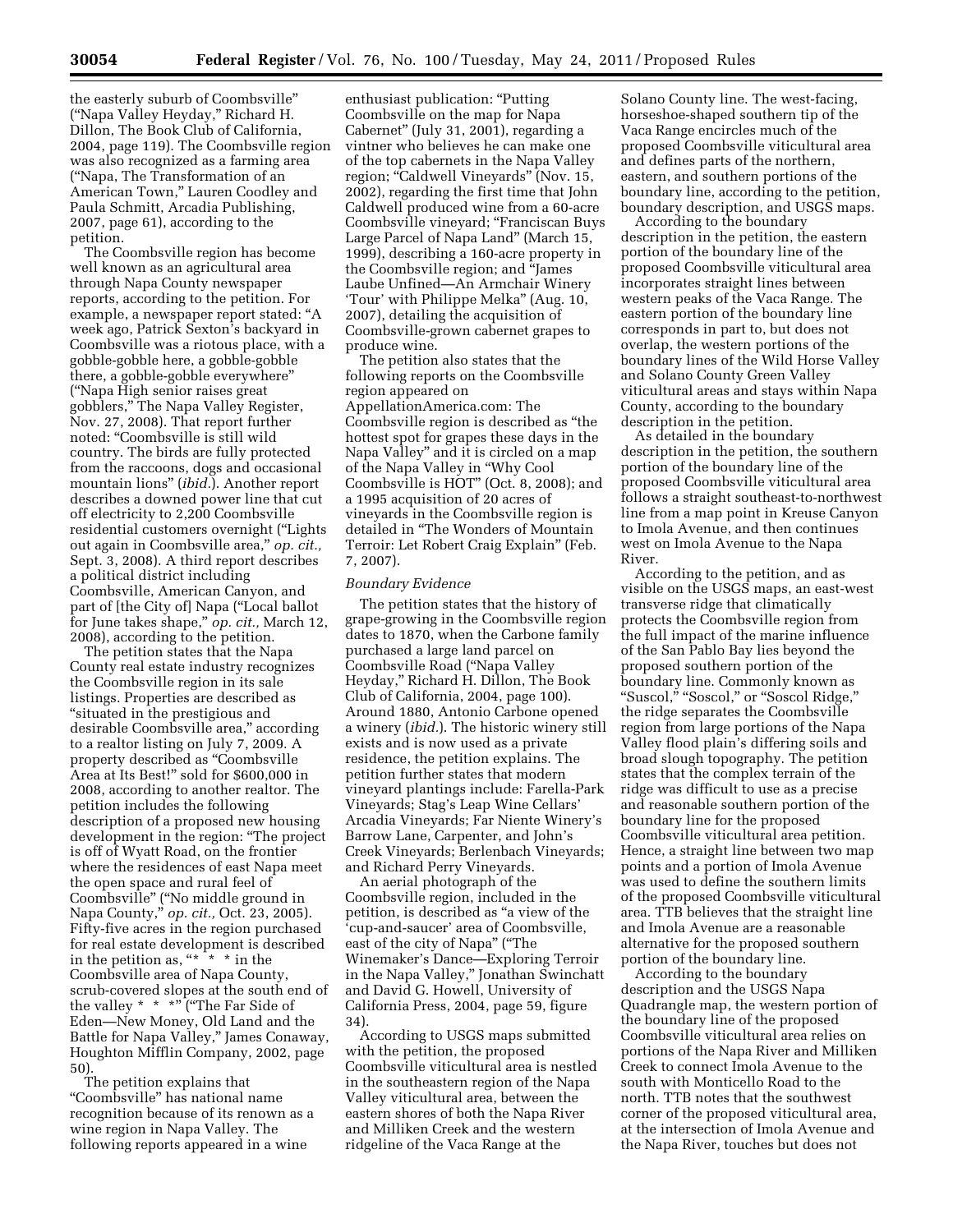the easterly suburb of Coombsville'' (''Napa Valley Heyday,'' Richard H. Dillon, The Book Club of California, 2004, page 119). The Coombsville region was also recognized as a farming area (''Napa, The Transformation of an American Town,'' Lauren Coodley and Paula Schmitt, Arcadia Publishing, 2007, page 61), according to the petition.

The Coombsville region has become well known as an agricultural area through Napa County newspaper reports, according to the petition. For example, a newspaper report stated: ''A week ago, Patrick Sexton's backyard in Coombsville was a riotous place, with a gobble-gobble here, a gobble-gobble there, a gobble-gobble everywhere'' (''Napa High senior raises great gobblers,'' The Napa Valley Register, Nov. 27, 2008). That report further noted: ''Coombsville is still wild country. The birds are fully protected from the raccoons, dogs and occasional mountain lions'' (*ibid.*). Another report describes a downed power line that cut off electricity to 2,200 Coombsville residential customers overnight (''Lights out again in Coombsville area,'' *op. cit.,*  Sept. 3, 2008). A third report describes a political district including Coombsville, American Canyon, and part of [the City of] Napa (''Local ballot for June takes shape,'' *op. cit.,* March 12, 2008), according to the petition.

The petition states that the Napa County real estate industry recognizes the Coombsville region in its sale listings. Properties are described as "situated in the prestigious and desirable Coombsville area," according to a realtor listing on July 7, 2009. A property described as ''Coombsville Area at Its Best!'' sold for \$600,000 in 2008, according to another realtor. The petition includes the following description of a proposed new housing development in the region: ''The project is off of Wyatt Road, on the frontier where the residences of east Napa meet the open space and rural feel of Coombsville'' (''No middle ground in Napa County,'' *op. cit.,* Oct. 23, 2005). Fifty-five acres in the region purchased for real estate development is described in the petition as,  $** * * in the$ Coombsville area of Napa County, scrub-covered slopes at the south end of the valley  $* * * \cdot \cdot \cdot$  ("The Far Side of Eden—New Money, Old Land and the Battle for Napa Valley,'' James Conaway, Houghton Mifflin Company, 2002, page 50).

The petition explains that ''Coombsville'' has national name recognition because of its renown as a wine region in Napa Valley. The following reports appeared in a wine

enthusiast publication: ''Putting Coombsville on the map for Napa Cabernet'' (July 31, 2001), regarding a vintner who believes he can make one of the top cabernets in the Napa Valley region; "Caldwell Vineyards" (Nov. 15, 2002), regarding the first time that John Caldwell produced wine from a 60-acre Coombsville vineyard; ''Franciscan Buys Large Parcel of Napa Land'' (March 15, 1999), describing a 160-acre property in the Coombsville region; and ''James Laube Unfined—An Armchair Winery 'Tour' with Philippe Melka'' (Aug. 10, 2007), detailing the acquisition of Coombsville-grown cabernet grapes to produce wine.

The petition also states that the following reports on the Coombsville region appeared on AppellationAmerica.com: The Coombsville region is described as ''the hottest spot for grapes these days in the Napa Valley'' and it is circled on a map of the Napa Valley in ''Why Cool Coombsville is HOT'' (Oct. 8, 2008); and a 1995 acquisition of 20 acres of vineyards in the Coombsville region is detailed in ''The Wonders of Mountain Terroir: Let Robert Craig Explain'' (Feb. 7, 2007).

### *Boundary Evidence*

The petition states that the history of grape-growing in the Coombsville region dates to 1870, when the Carbone family purchased a large land parcel on Coombsville Road (''Napa Valley Heyday,'' Richard H. Dillon, The Book Club of California, 2004, page 100). Around 1880, Antonio Carbone opened a winery (*ibid.*). The historic winery still exists and is now used as a private residence, the petition explains. The petition further states that modern vineyard plantings include: Farella-Park Vineyards; Stag's Leap Wine Cellars' Arcadia Vineyards; Far Niente Winery's Barrow Lane, Carpenter, and John's Creek Vineyards; Berlenbach Vineyards; and Richard Perry Vineyards.

An aerial photograph of the Coombsville region, included in the petition, is described as ''a view of the 'cup-and-saucer' area of Coombsville, east of the city of Napa'' (''The Winemaker's Dance—Exploring Terroir in the Napa Valley,'' Jonathan Swinchatt and David G. Howell, University of California Press, 2004, page 59, figure 34).

According to USGS maps submitted with the petition, the proposed Coombsville viticultural area is nestled in the southeastern region of the Napa Valley viticultural area, between the eastern shores of both the Napa River and Milliken Creek and the western ridgeline of the Vaca Range at the

Solano County line. The west-facing, horseshoe-shaped southern tip of the Vaca Range encircles much of the proposed Coombsville viticultural area and defines parts of the northern, eastern, and southern portions of the boundary line, according to the petition, boundary description, and USGS maps.

According to the boundary description in the petition, the eastern portion of the boundary line of the proposed Coombsville viticultural area incorporates straight lines between western peaks of the Vaca Range. The eastern portion of the boundary line corresponds in part to, but does not overlap, the western portions of the boundary lines of the Wild Horse Valley and Solano County Green Valley viticultural areas and stays within Napa County, according to the boundary description in the petition.

As detailed in the boundary description in the petition, the southern portion of the boundary line of the proposed Coombsville viticultural area follows a straight southeast-to-northwest line from a map point in Kreuse Canyon to Imola Avenue, and then continues west on Imola Avenue to the Napa River.

According to the petition, and as visible on the USGS maps, an east-west transverse ridge that climatically protects the Coombsville region from the full impact of the marine influence of the San Pablo Bay lies beyond the proposed southern portion of the boundary line. Commonly known as ''Suscol,'' ''Soscol,'' or ''Soscol Ridge,'' the ridge separates the Coombsville region from large portions of the Napa Valley flood plain's differing soils and broad slough topography. The petition states that the complex terrain of the ridge was difficult to use as a precise and reasonable southern portion of the boundary line for the proposed Coombsville viticultural area petition. Hence, a straight line between two map points and a portion of Imola Avenue was used to define the southern limits of the proposed Coombsville viticultural area. TTB believes that the straight line and Imola Avenue are a reasonable alternative for the proposed southern portion of the boundary line.

According to the boundary description and the USGS Napa Quadrangle map, the western portion of the boundary line of the proposed Coombsville viticultural area relies on portions of the Napa River and Milliken Creek to connect Imola Avenue to the south with Monticello Road to the north. TTB notes that the southwest corner of the proposed viticultural area, at the intersection of Imola Avenue and the Napa River, touches but does not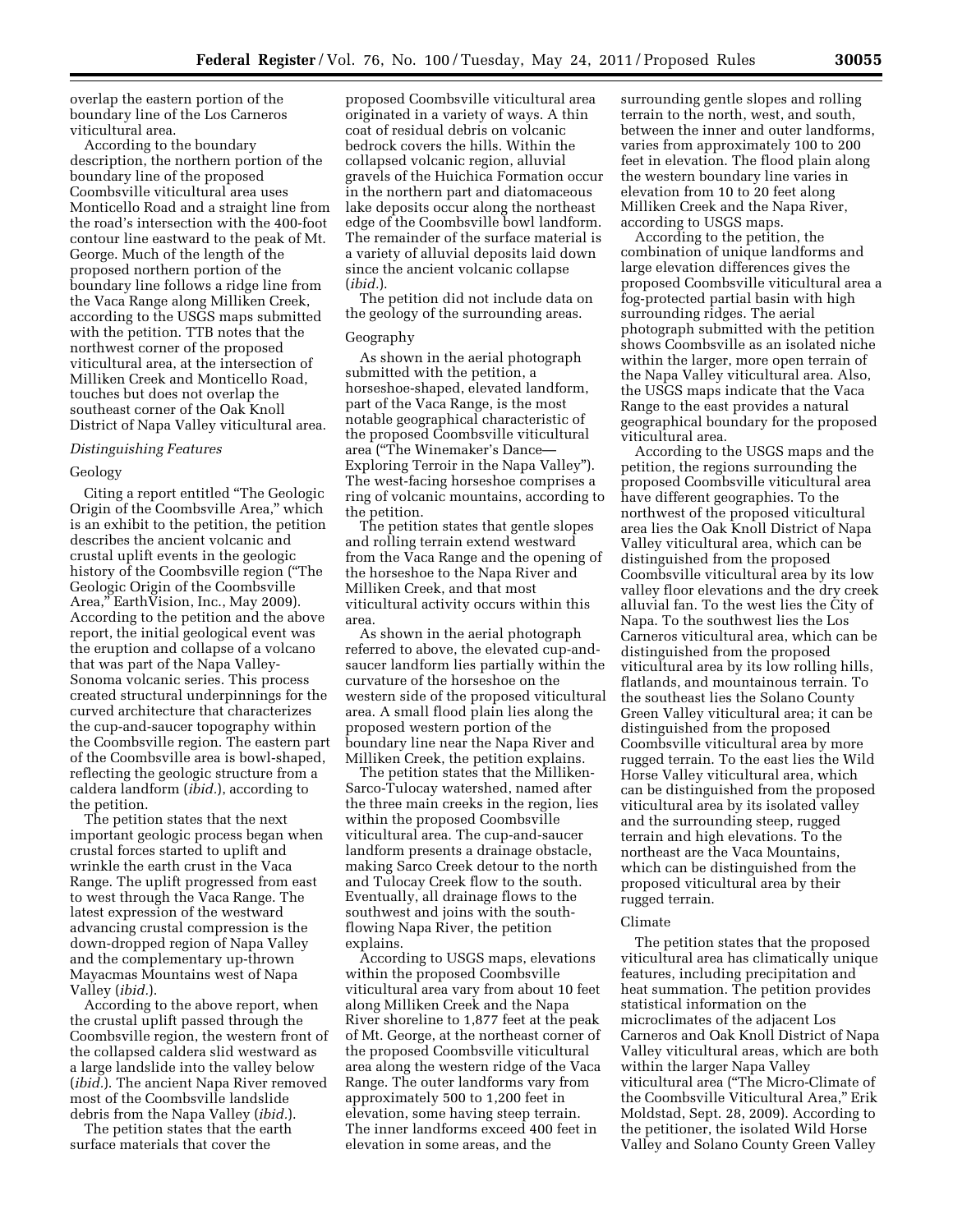overlap the eastern portion of the boundary line of the Los Carneros viticultural area.

According to the boundary description, the northern portion of the boundary line of the proposed Coombsville viticultural area uses Monticello Road and a straight line from the road's intersection with the 400-foot contour line eastward to the peak of Mt. George. Much of the length of the proposed northern portion of the boundary line follows a ridge line from the Vaca Range along Milliken Creek, according to the USGS maps submitted with the petition. TTB notes that the northwest corner of the proposed viticultural area, at the intersection of Milliken Creek and Monticello Road, touches but does not overlap the southeast corner of the Oak Knoll District of Napa Valley viticultural area.

#### *Distinguishing Features*

# Geology

Citing a report entitled ''The Geologic Origin of the Coombsville Area,'' which is an exhibit to the petition, the petition describes the ancient volcanic and crustal uplift events in the geologic history of the Coombsville region (''The Geologic Origin of the Coombsville Area,'' EarthVision, Inc., May 2009). According to the petition and the above report, the initial geological event was the eruption and collapse of a volcano that was part of the Napa Valley-Sonoma volcanic series. This process created structural underpinnings for the curved architecture that characterizes the cup-and-saucer topography within the Coombsville region. The eastern part of the Coombsville area is bowl-shaped, reflecting the geologic structure from a caldera landform (*ibid.*), according to the petition.

The petition states that the next important geologic process began when crustal forces started to uplift and wrinkle the earth crust in the Vaca Range. The uplift progressed from east to west through the Vaca Range. The latest expression of the westward advancing crustal compression is the down-dropped region of Napa Valley and the complementary up-thrown Mayacmas Mountains west of Napa Valley (*ibid.*).

According to the above report, when the crustal uplift passed through the Coombsville region, the western front of the collapsed caldera slid westward as a large landslide into the valley below (*ibid.*). The ancient Napa River removed most of the Coombsville landslide debris from the Napa Valley (*ibid.*).

The petition states that the earth surface materials that cover the

proposed Coombsville viticultural area originated in a variety of ways. A thin coat of residual debris on volcanic bedrock covers the hills. Within the collapsed volcanic region, alluvial gravels of the Huichica Formation occur in the northern part and diatomaceous lake deposits occur along the northeast edge of the Coombsville bowl landform. The remainder of the surface material is a variety of alluvial deposits laid down since the ancient volcanic collapse (*ibid.*).

The petition did not include data on the geology of the surrounding areas.

#### Geography

As shown in the aerial photograph submitted with the petition, a horseshoe-shaped, elevated landform, part of the Vaca Range, is the most notable geographical characteristic of the proposed Coombsville viticultural area (''The Winemaker's Dance— Exploring Terroir in the Napa Valley''). The west-facing horseshoe comprises a ring of volcanic mountains, according to the petition.

The petition states that gentle slopes and rolling terrain extend westward from the Vaca Range and the opening of the horseshoe to the Napa River and Milliken Creek, and that most viticultural activity occurs within this area.

As shown in the aerial photograph referred to above, the elevated cup-andsaucer landform lies partially within the curvature of the horseshoe on the western side of the proposed viticultural area. A small flood plain lies along the proposed western portion of the boundary line near the Napa River and Milliken Creek, the petition explains.

The petition states that the Milliken-Sarco-Tulocay watershed, named after the three main creeks in the region, lies within the proposed Coombsville viticultural area. The cup-and-saucer landform presents a drainage obstacle, making Sarco Creek detour to the north and Tulocay Creek flow to the south. Eventually, all drainage flows to the southwest and joins with the southflowing Napa River, the petition explains.

According to USGS maps, elevations within the proposed Coombsville viticultural area vary from about 10 feet along Milliken Creek and the Napa River shoreline to 1,877 feet at the peak of Mt. George, at the northeast corner of the proposed Coombsville viticultural area along the western ridge of the Vaca Range. The outer landforms vary from approximately 500 to 1,200 feet in elevation, some having steep terrain. The inner landforms exceed 400 feet in elevation in some areas, and the

surrounding gentle slopes and rolling terrain to the north, west, and south, between the inner and outer landforms, varies from approximately 100 to 200 feet in elevation. The flood plain along the western boundary line varies in elevation from 10 to 20 feet along Milliken Creek and the Napa River, according to USGS maps.

According to the petition, the combination of unique landforms and large elevation differences gives the proposed Coombsville viticultural area a fog-protected partial basin with high surrounding ridges. The aerial photograph submitted with the petition shows Coombsville as an isolated niche within the larger, more open terrain of the Napa Valley viticultural area. Also, the USGS maps indicate that the Vaca Range to the east provides a natural geographical boundary for the proposed viticultural area.

According to the USGS maps and the petition, the regions surrounding the proposed Coombsville viticultural area have different geographies. To the northwest of the proposed viticultural area lies the Oak Knoll District of Napa Valley viticultural area, which can be distinguished from the proposed Coombsville viticultural area by its low valley floor elevations and the dry creek alluvial fan. To the west lies the City of Napa. To the southwest lies the Los Carneros viticultural area, which can be distinguished from the proposed viticultural area by its low rolling hills, flatlands, and mountainous terrain. To the southeast lies the Solano County Green Valley viticultural area; it can be distinguished from the proposed Coombsville viticultural area by more rugged terrain. To the east lies the Wild Horse Valley viticultural area, which can be distinguished from the proposed viticultural area by its isolated valley and the surrounding steep, rugged terrain and high elevations. To the northeast are the Vaca Mountains, which can be distinguished from the proposed viticultural area by their rugged terrain.

## Climate

The petition states that the proposed viticultural area has climatically unique features, including precipitation and heat summation. The petition provides statistical information on the microclimates of the adjacent Los Carneros and Oak Knoll District of Napa Valley viticultural areas, which are both within the larger Napa Valley viticultural area (''The Micro-Climate of the Coombsville Viticultural Area,'' Erik Moldstad, Sept. 28, 2009). According to the petitioner, the isolated Wild Horse Valley and Solano County Green Valley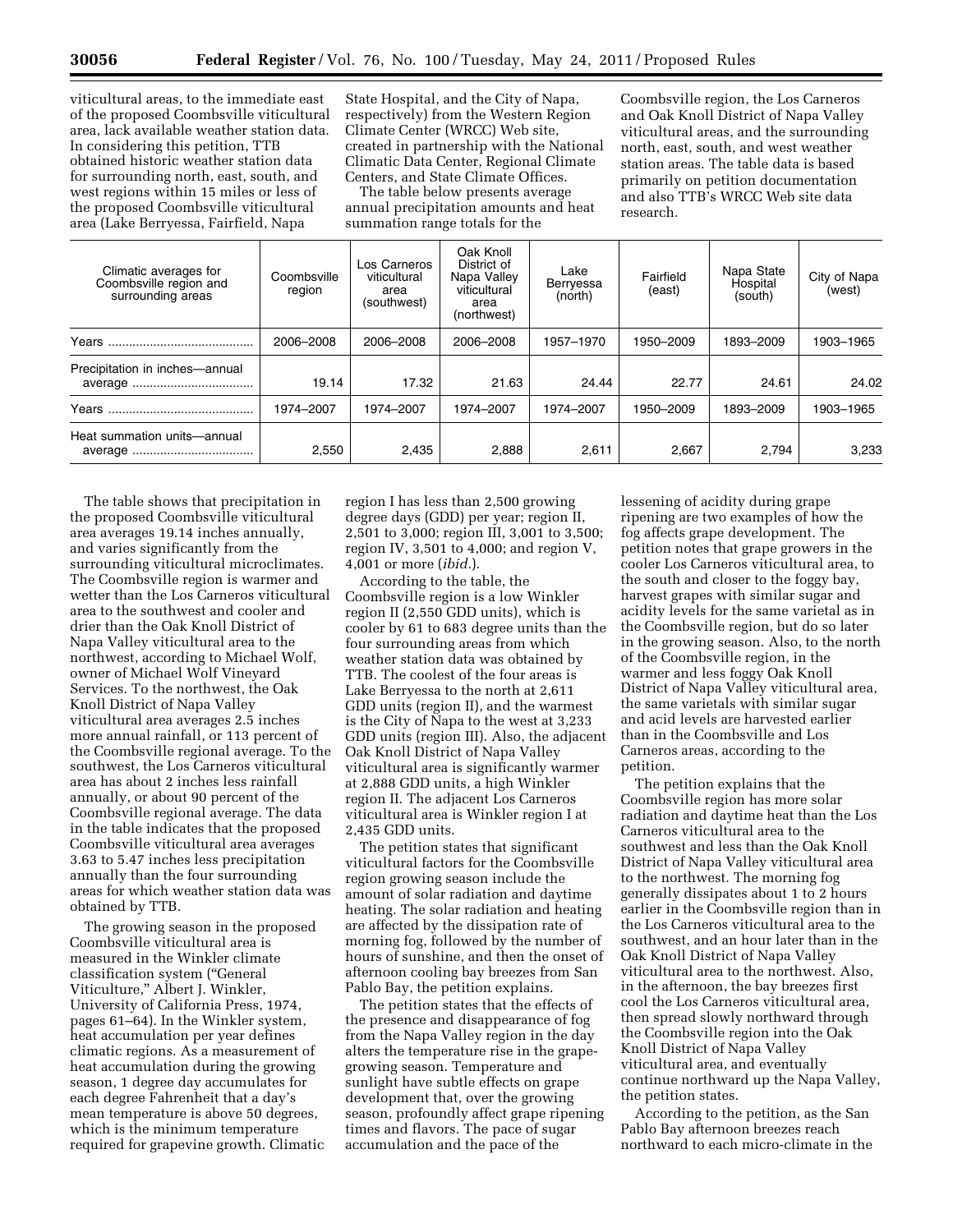viticultural areas, to the immediate east of the proposed Coombsville viticultural area, lack available weather station data. In considering this petition, TTB obtained historic weather station data for surrounding north, east, south, and west regions within 15 miles or less of the proposed Coombsville viticultural area (Lake Berryessa, Fairfield, Napa

State Hospital, and the City of Napa, respectively) from the Western Region Climate Center (WRCC) Web site, created in partnership with the National Climatic Data Center, Regional Climate Centers, and State Climate Offices.

The table below presents average annual precipitation amounts and heat summation range totals for the

Coombsville region, the Los Carneros and Oak Knoll District of Napa Valley viticultural areas, and the surrounding north, east, south, and west weather station areas. The table data is based primarily on petition documentation and also TTB's WRCC Web site data research.

| Climatic averages for<br>Coombsville region and<br>surrounding areas | Coombsville<br>region | Los Carneros<br>viticultural<br>area<br>(southwest) | Oak Knoll<br>District of<br>Napa Valley<br>viticultural<br>area<br>(northwest) | Lake<br>Berryessa<br>(north) | Fairfield<br>(east) | Napa State<br>Hospital<br>(south) | City of Napa<br>(west) |
|----------------------------------------------------------------------|-----------------------|-----------------------------------------------------|--------------------------------------------------------------------------------|------------------------------|---------------------|-----------------------------------|------------------------|
|                                                                      | 2006-2008             | 2006-2008                                           | 2006-2008                                                                      | 1957-1970                    | 1950-2009           | 1893-2009                         | 1903-1965              |
| Precipitation in inches-annual                                       | 19.14                 | 17.32                                               | 21.63                                                                          | 24.44                        | 22.77               | 24.61                             | 24.02                  |
|                                                                      | 1974–2007             | 1974-2007                                           | 1974–2007                                                                      | 1974–2007                    | 1950-2009           | 1893-2009                         | 1903-1965              |
| Heat summation units-annual                                          | 2,550                 | 2,435                                               | 2,888                                                                          | 2,611                        | 2,667               | 2,794                             | 3,233                  |

The table shows that precipitation in the proposed Coombsville viticultural area averages 19.14 inches annually, and varies significantly from the surrounding viticultural microclimates. The Coombsville region is warmer and wetter than the Los Carneros viticultural area to the southwest and cooler and drier than the Oak Knoll District of Napa Valley viticultural area to the northwest, according to Michael Wolf, owner of Michael Wolf Vineyard Services. To the northwest, the Oak Knoll District of Napa Valley viticultural area averages 2.5 inches more annual rainfall, or 113 percent of the Coombsville regional average. To the southwest, the Los Carneros viticultural area has about 2 inches less rainfall annually, or about 90 percent of the Coombsville regional average. The data in the table indicates that the proposed Coombsville viticultural area averages 3.63 to 5.47 inches less precipitation annually than the four surrounding areas for which weather station data was obtained by TTB.

The growing season in the proposed Coombsville viticultural area is measured in the Winkler climate classification system (''General Viticulture,'' Albert J. Winkler, University of California Press, 1974, pages 61–64). In the Winkler system, heat accumulation per year defines climatic regions. As a measurement of heat accumulation during the growing season, 1 degree day accumulates for each degree Fahrenheit that a day's mean temperature is above 50 degrees, which is the minimum temperature required for grapevine growth. Climatic region I has less than 2,500 growing degree days (GDD) per year; region II, 2,501 to 3,000; region III, 3,001 to 3,500; region IV, 3,501 to 4,000; and region V, 4,001 or more (*ibid.*).

According to the table, the Coombsville region is a low Winkler region II (2,550 GDD units), which is cooler by 61 to 683 degree units than the four surrounding areas from which weather station data was obtained by TTB. The coolest of the four areas is Lake Berryessa to the north at 2,611 GDD units (region II), and the warmest is the City of Napa to the west at 3,233 GDD units (region III). Also, the adjacent Oak Knoll District of Napa Valley viticultural area is significantly warmer at 2,888 GDD units, a high Winkler region II. The adjacent Los Carneros viticultural area is Winkler region I at 2,435 GDD units.

The petition states that significant viticultural factors for the Coombsville region growing season include the amount of solar radiation and daytime heating. The solar radiation and heating are affected by the dissipation rate of morning fog, followed by the number of hours of sunshine, and then the onset of afternoon cooling bay breezes from San Pablo Bay, the petition explains.

The petition states that the effects of the presence and disappearance of fog from the Napa Valley region in the day alters the temperature rise in the grapegrowing season. Temperature and sunlight have subtle effects on grape development that, over the growing season, profoundly affect grape ripening times and flavors. The pace of sugar accumulation and the pace of the

lessening of acidity during grape ripening are two examples of how the fog affects grape development. The petition notes that grape growers in the cooler Los Carneros viticultural area, to the south and closer to the foggy bay, harvest grapes with similar sugar and acidity levels for the same varietal as in the Coombsville region, but do so later in the growing season. Also, to the north of the Coombsville region, in the warmer and less foggy Oak Knoll District of Napa Valley viticultural area, the same varietals with similar sugar and acid levels are harvested earlier than in the Coombsville and Los Carneros areas, according to the petition.

The petition explains that the Coombsville region has more solar radiation and daytime heat than the Los Carneros viticultural area to the southwest and less than the Oak Knoll District of Napa Valley viticultural area to the northwest. The morning fog generally dissipates about 1 to 2 hours earlier in the Coombsville region than in the Los Carneros viticultural area to the southwest, and an hour later than in the Oak Knoll District of Napa Valley viticultural area to the northwest. Also, in the afternoon, the bay breezes first cool the Los Carneros viticultural area, then spread slowly northward through the Coombsville region into the Oak Knoll District of Napa Valley viticultural area, and eventually continue northward up the Napa Valley, the petition states.

According to the petition, as the San Pablo Bay afternoon breezes reach northward to each micro-climate in the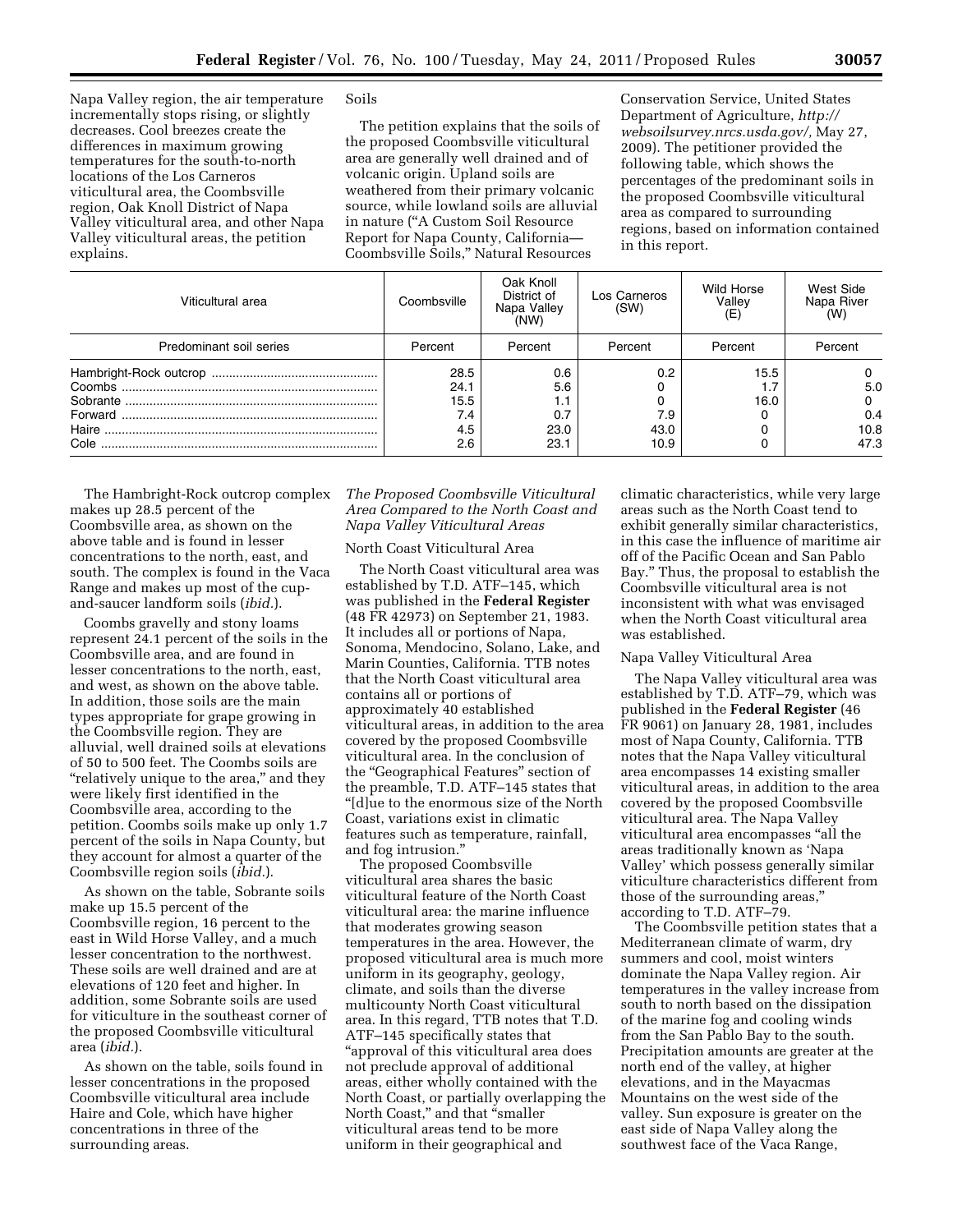Napa Valley region, the air temperature incrementally stops rising, or slightly decreases. Cool breezes create the differences in maximum growing temperatures for the south-to-north locations of the Los Carneros viticultural area, the Coombsville region, Oak Knoll District of Napa Valley viticultural area, and other Napa Valley viticultural areas, the petition explains.

Soils

The petition explains that the soils of the proposed Coombsville viticultural area are generally well drained and of volcanic origin. Upland soils are weathered from their primary volcanic source, while lowland soils are alluvial in nature (''A Custom Soil Resource Report for Napa County, California— Coombsville Soils,'' Natural Resources

Conservation Service, United States Department of Agriculture, *[http://](http://websoilsurvey.nrcs.usda.gov/) [websoilsurvey.nrcs.usda.gov/,](http://websoilsurvey.nrcs.usda.gov/)* May 27, 2009). The petitioner provided the following table, which shows the percentages of the predominant soils in the proposed Coombsville viticultural area as compared to surrounding regions, based on information contained in this report.

| Viticultural area       | Coombsville                               | Oak Knoll<br>District of<br>Napa Valley<br>(NW) | Los Carneros<br>(SW)                 | Wild Horse<br>Valley     | West Side<br>Napa River<br>(W)  |
|-------------------------|-------------------------------------------|-------------------------------------------------|--------------------------------------|--------------------------|---------------------------------|
| Predominant soil series | Percent                                   | Percent                                         | Percent                              | Percent                  | Percent                         |
| Cole                    | 28.5<br>24.1<br>15.5<br>7.4<br>4.5<br>2.6 | 0.6<br>5.6<br>0.7<br>23.0<br>23.1               | 0.2<br>0<br>0<br>7.9<br>43.0<br>10.9 | 15.5<br>1.7<br>16.0<br>0 | 5.0<br>0<br>0.4<br>10.8<br>47.3 |

The Hambright-Rock outcrop complex makes up 28.5 percent of the Coombsville area, as shown on the above table and is found in lesser concentrations to the north, east, and south. The complex is found in the Vaca Range and makes up most of the cupand-saucer landform soils (*ibid.*).

Coombs gravelly and stony loams represent 24.1 percent of the soils in the Coombsville area, and are found in lesser concentrations to the north, east, and west, as shown on the above table. In addition, those soils are the main types appropriate for grape growing in the Coombsville region. They are alluvial, well drained soils at elevations of 50 to 500 feet. The Coombs soils are "relatively unique to the area," and they were likely first identified in the Coombsville area, according to the petition. Coombs soils make up only 1.7 percent of the soils in Napa County, but they account for almost a quarter of the Coombsville region soils (*ibid.*).

As shown on the table, Sobrante soils make up 15.5 percent of the Coombsville region, 16 percent to the east in Wild Horse Valley, and a much lesser concentration to the northwest. These soils are well drained and are at elevations of 120 feet and higher. In addition, some Sobrante soils are used for viticulture in the southeast corner of the proposed Coombsville viticultural area (*ibid.*).

As shown on the table, soils found in lesser concentrations in the proposed Coombsville viticultural area include Haire and Cole, which have higher concentrations in three of the surrounding areas.

## *The Proposed Coombsville Viticultural Area Compared to the North Coast and Napa Valley Viticultural Areas*

# North Coast Viticultural Area

The North Coast viticultural area was established by T.D. ATF–145, which was published in the **Federal Register**  (48 FR 42973) on September 21, 1983. It includes all or portions of Napa, Sonoma, Mendocino, Solano, Lake, and Marin Counties, California. TTB notes that the North Coast viticultural area contains all or portions of approximately 40 established viticultural areas, in addition to the area covered by the proposed Coombsville viticultural area. In the conclusion of the ''Geographical Features'' section of the preamble, T.D. ATF–145 states that "[d]ue to the enormous size of the North Coast, variations exist in climatic features such as temperature, rainfall, and fog intrusion.''

The proposed Coombsville viticultural area shares the basic viticultural feature of the North Coast viticultural area: the marine influence that moderates growing season temperatures in the area. However, the proposed viticultural area is much more uniform in its geography, geology, climate, and soils than the diverse multicounty North Coast viticultural area. In this regard, TTB notes that T.D. ATF–145 specifically states that ''approval of this viticultural area does not preclude approval of additional areas, either wholly contained with the North Coast, or partially overlapping the North Coast," and that "smaller viticultural areas tend to be more uniform in their geographical and

climatic characteristics, while very large areas such as the North Coast tend to exhibit generally similar characteristics, in this case the influence of maritime air off of the Pacific Ocean and San Pablo Bay.'' Thus, the proposal to establish the Coombsville viticultural area is not inconsistent with what was envisaged when the North Coast viticultural area was established.

# Napa Valley Viticultural Area

The Napa Valley viticultural area was established by T.D. ATF–79, which was published in the **Federal Register** (46 FR 9061) on January 28, 1981, includes most of Napa County, California. TTB notes that the Napa Valley viticultural area encompasses 14 existing smaller viticultural areas, in addition to the area covered by the proposed Coombsville viticultural area. The Napa Valley viticultural area encompasses ''all the areas traditionally known as 'Napa Valley' which possess generally similar viticulture characteristics different from those of the surrounding areas,'' according to T.D. ATF–79.

The Coombsville petition states that a Mediterranean climate of warm, dry summers and cool, moist winters dominate the Napa Valley region. Air temperatures in the valley increase from south to north based on the dissipation of the marine fog and cooling winds from the San Pablo Bay to the south. Precipitation amounts are greater at the north end of the valley, at higher elevations, and in the Mayacmas Mountains on the west side of the valley. Sun exposure is greater on the east side of Napa Valley along the southwest face of the Vaca Range,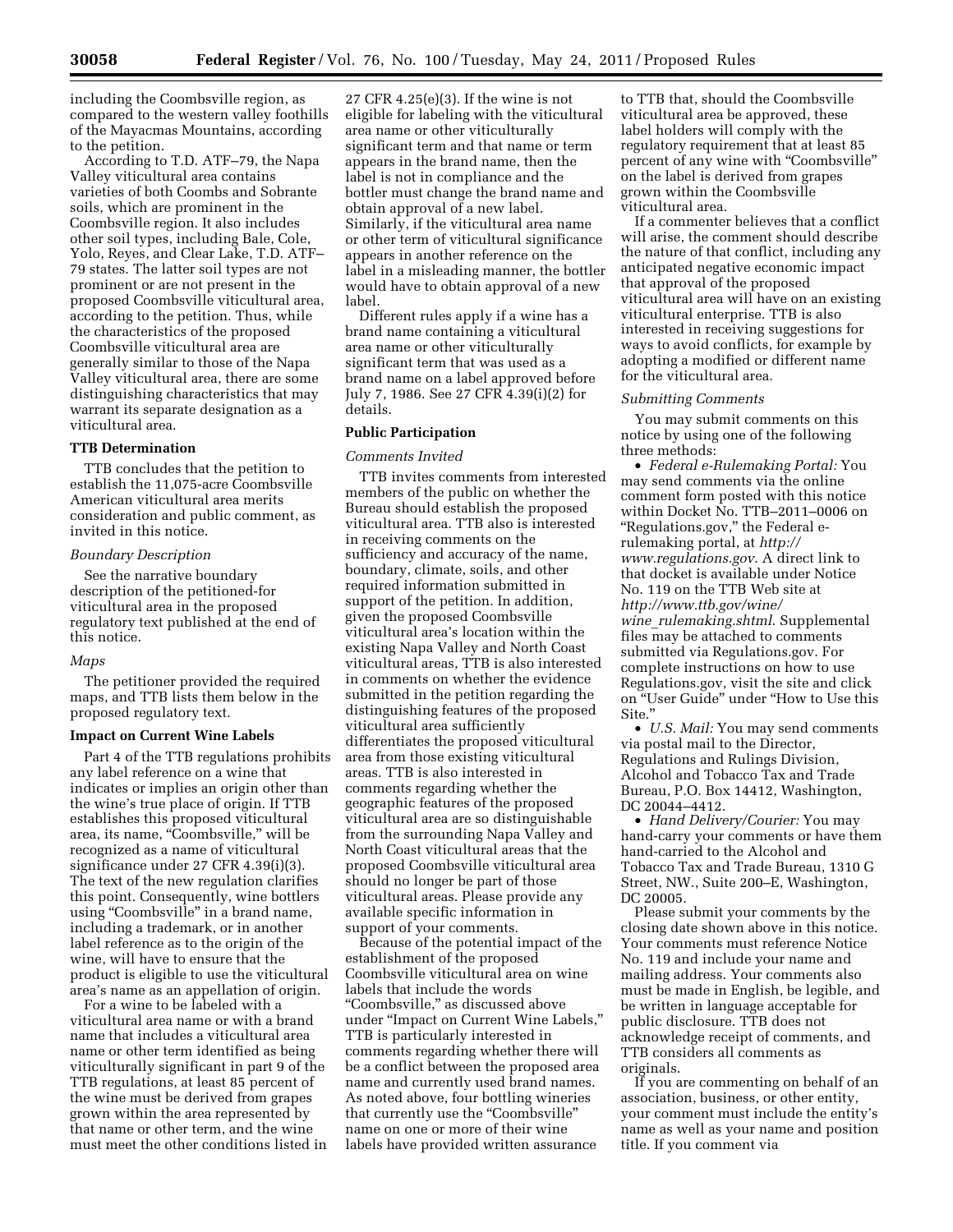including the Coombsville region, as compared to the western valley foothills of the Mayacmas Mountains, according to the petition.

According to T.D. ATF–79, the Napa Valley viticultural area contains varieties of both Coombs and Sobrante soils, which are prominent in the Coombsville region. It also includes other soil types, including Bale, Cole, Yolo, Reyes, and Clear Lake, T.D. ATF– 79 states. The latter soil types are not prominent or are not present in the proposed Coombsville viticultural area, according to the petition. Thus, while the characteristics of the proposed Coombsville viticultural area are generally similar to those of the Napa Valley viticultural area, there are some distinguishing characteristics that may warrant its separate designation as a viticultural area.

#### **TTB Determination**

TTB concludes that the petition to establish the 11,075-acre Coombsville American viticultural area merits consideration and public comment, as invited in this notice.

## *Boundary Description*

See the narrative boundary description of the petitioned-for viticultural area in the proposed regulatory text published at the end of this notice.

#### *Maps*

The petitioner provided the required maps, and TTB lists them below in the proposed regulatory text.

### **Impact on Current Wine Labels**

Part 4 of the TTB regulations prohibits any label reference on a wine that indicates or implies an origin other than the wine's true place of origin. If TTB establishes this proposed viticultural area, its name, "Coombsville," will be recognized as a name of viticultural significance under 27 CFR 4.39(i)(3). The text of the new regulation clarifies this point. Consequently, wine bottlers using "Coombsville" in a brand name, including a trademark, or in another label reference as to the origin of the wine, will have to ensure that the product is eligible to use the viticultural area's name as an appellation of origin.

For a wine to be labeled with a viticultural area name or with a brand name that includes a viticultural area name or other term identified as being viticulturally significant in part 9 of the TTB regulations, at least 85 percent of the wine must be derived from grapes grown within the area represented by that name or other term, and the wine must meet the other conditions listed in

27 CFR 4.25(e)(3). If the wine is not eligible for labeling with the viticultural area name or other viticulturally significant term and that name or term appears in the brand name, then the label is not in compliance and the bottler must change the brand name and obtain approval of a new label. Similarly, if the viticultural area name or other term of viticultural significance appears in another reference on the label in a misleading manner, the bottler would have to obtain approval of a new label.

Different rules apply if a wine has a brand name containing a viticultural area name or other viticulturally significant term that was used as a brand name on a label approved before July 7, 1986. See 27 CFR 4.39(i)(2) for details.

# **Public Participation**

#### *Comments Invited*

TTB invites comments from interested members of the public on whether the Bureau should establish the proposed viticultural area. TTB also is interested in receiving comments on the sufficiency and accuracy of the name, boundary, climate, soils, and other required information submitted in support of the petition. In addition, given the proposed Coombsville viticultural area's location within the existing Napa Valley and North Coast viticultural areas, TTB is also interested in comments on whether the evidence submitted in the petition regarding the distinguishing features of the proposed viticultural area sufficiently differentiates the proposed viticultural area from those existing viticultural areas. TTB is also interested in comments regarding whether the geographic features of the proposed viticultural area are so distinguishable from the surrounding Napa Valley and North Coast viticultural areas that the proposed Coombsville viticultural area should no longer be part of those viticultural areas. Please provide any available specific information in support of your comments.

Because of the potential impact of the establishment of the proposed Coombsville viticultural area on wine labels that include the words ''Coombsville,'' as discussed above under ''Impact on Current Wine Labels,'' TTB is particularly interested in comments regarding whether there will be a conflict between the proposed area name and currently used brand names. As noted above, four bottling wineries that currently use the "Coombsville" name on one or more of their wine labels have provided written assurance

to TTB that, should the Coombsville viticultural area be approved, these label holders will comply with the regulatory requirement that at least 85 percent of any wine with "Coombsville" on the label is derived from grapes grown within the Coombsville viticultural area.

If a commenter believes that a conflict will arise, the comment should describe the nature of that conflict, including any anticipated negative economic impact that approval of the proposed viticultural area will have on an existing viticultural enterprise. TTB is also interested in receiving suggestions for ways to avoid conflicts, for example by adopting a modified or different name for the viticultural area.

#### *Submitting Comments*

You may submit comments on this notice by using one of the following three methods:

• *Federal e-Rulemaking Portal:* You may send comments via the online comment form posted with this notice within Docket No. TTB–2011–0006 on ''Regulations.gov,'' the Federal erulemaking portal, at *[http://](http://www.regulations.gov) [www.regulations.gov](http://www.regulations.gov)*. A direct link to that docket is available under Notice No. 119 on the TTB Web site at *[http://www.ttb.gov/wine/](http://www.ttb.gov/wine/wine_rulemaking.shtml)  wine*\_*[rulemaking.shtml](http://www.ttb.gov/wine/wine_rulemaking.shtml)*. Supplemental files may be attached to comments submitted via Regulations.gov. For complete instructions on how to use Regulations.gov, visit the site and click on ''User Guide'' under ''How to Use this Site.''

• *U.S. Mail:* You may send comments via postal mail to the Director, Regulations and Rulings Division, Alcohol and Tobacco Tax and Trade Bureau, P.O. Box 14412, Washington, DC 20044–4412.

• *Hand Delivery/Courier:* You may hand-carry your comments or have them hand-carried to the Alcohol and Tobacco Tax and Trade Bureau, 1310 G Street, NW., Suite 200–E, Washington, DC 20005.

Please submit your comments by the closing date shown above in this notice. Your comments must reference Notice No. 119 and include your name and mailing address. Your comments also must be made in English, be legible, and be written in language acceptable for public disclosure. TTB does not acknowledge receipt of comments, and TTB considers all comments as originals.

If you are commenting on behalf of an association, business, or other entity, your comment must include the entity's name as well as your name and position title. If you comment via